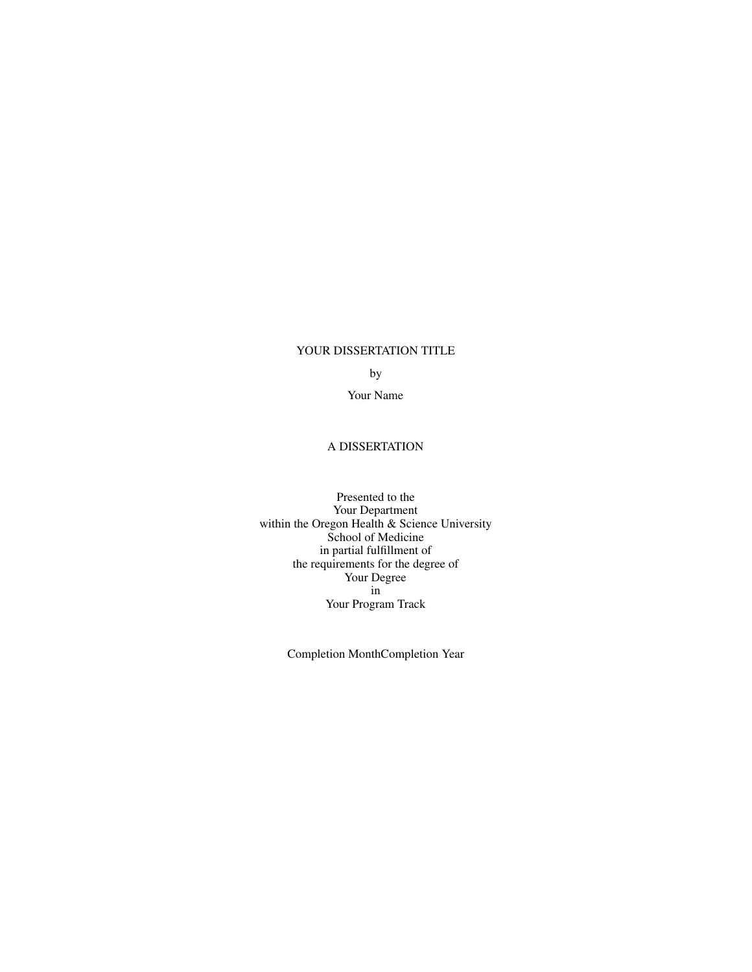#### YOUR DISSERTATION TITLE

by

Your Name

# A DISSERTATION

Presented to the Your Department within the Oregon Health & Science University School of Medicine in partial fulfillment of the requirements for the degree of Your Degree in Your Program Track

Completion MonthCompletion Year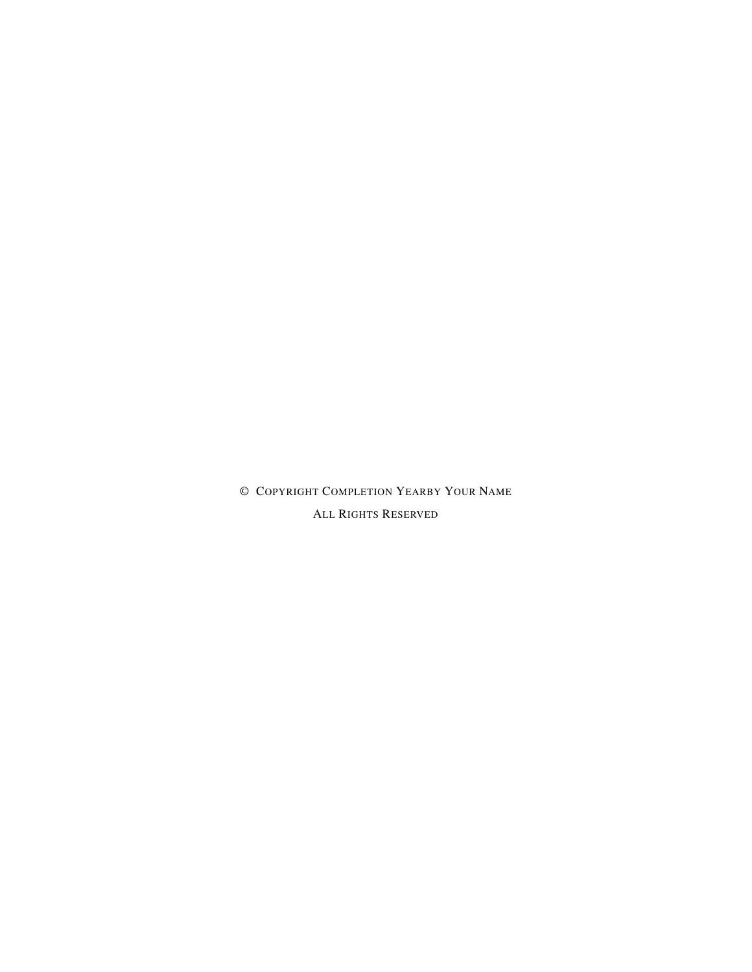© COPYRIGHT COMPLETION YEARBY YOUR NAME

ALL RIGHTS RESERVED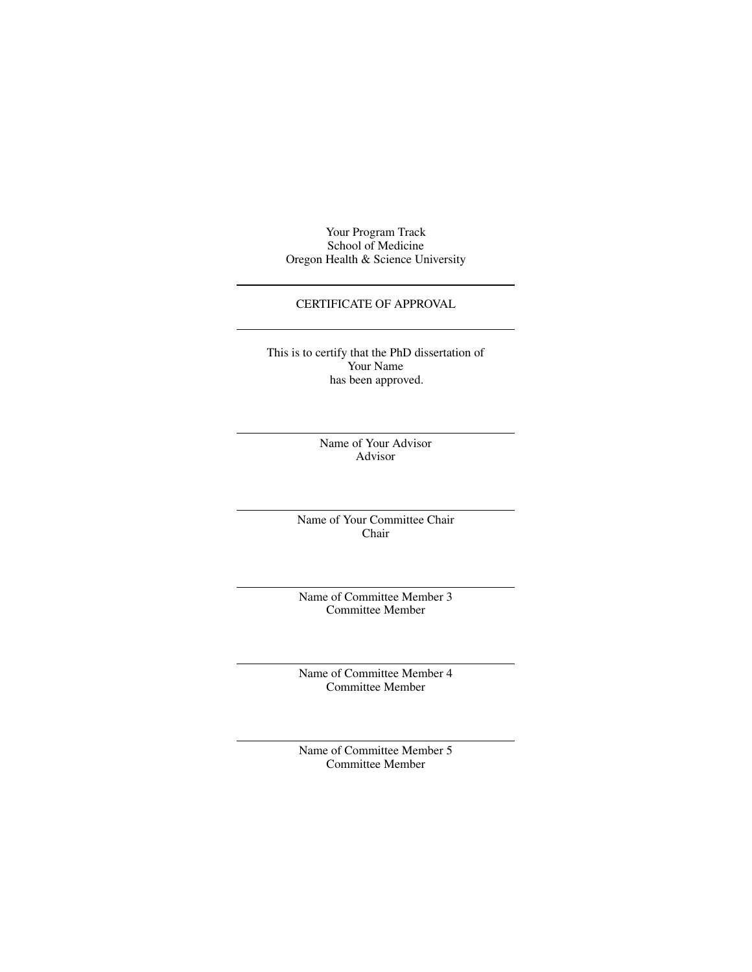Your Program Track School of Medicine Oregon Health & Science University

# CERTIFICATE OF APPROVAL

This is to certify that the PhD dissertation of Your Name has been approved.

> Name of Your Advisor Advisor

Name of Your Committee Chair Chair

Name of Committee Member 3 Committee Member

Name of Committee Member 4 Committee Member

Name of Committee Member 5 Committee Member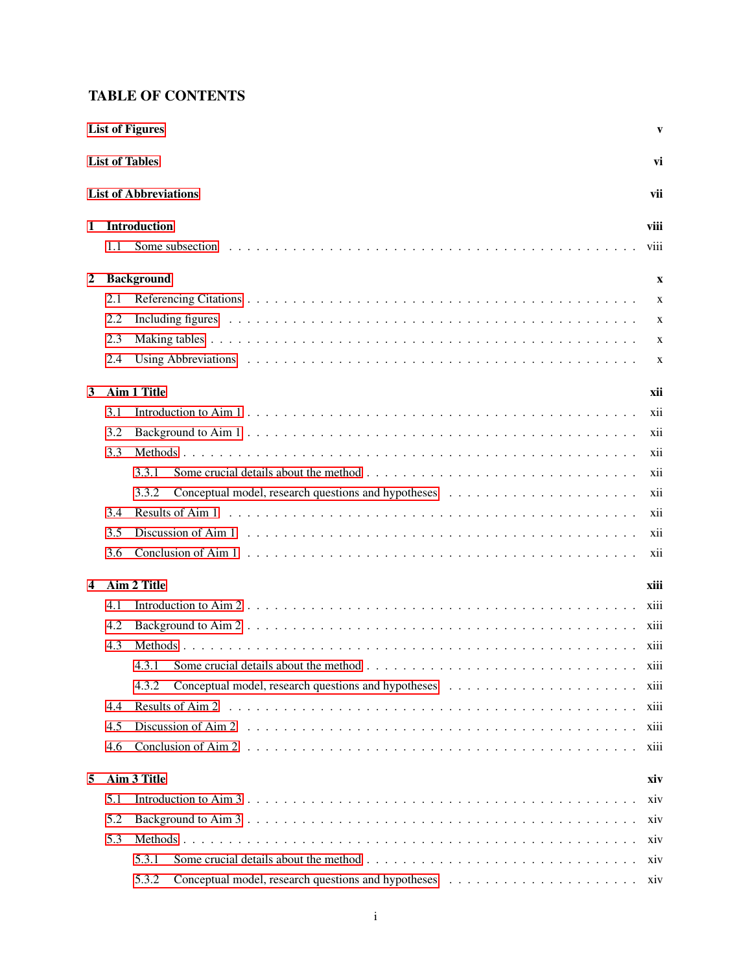# TABLE OF CONTENTS

| <b>List of Tables</b><br>vi<br><b>List of Abbreviations</b><br>vii<br>Introduction<br>viii<br>1<br>Some subsection (b) contains the contract of the contract of the contract of the contract of the contract of the contract of the contract of the contract of the contract of the contract of the contract of the contract of t<br>viii<br>1.1<br><b>Background</b><br>2<br>X<br>2.1<br>X<br>2.2<br>X<br>2.3<br>X<br>2.4<br>X<br>Aim 1 Title<br>3<br>xii<br>xii<br>3.1<br>3.2<br>xii<br>3.3<br>xii<br>3.3.1<br>xii<br>3.3.2<br>xii<br>Results of Aim 1<br>3.4<br>xii<br>3.5<br>Discussion of Aim 1<br>xii<br>3.6<br>xii<br>Aim 2 Title<br>4<br>xiii<br>4.1<br>xiii<br>4.2<br>xiii<br>4.3<br><b>X111</b><br>4.3.1<br>4.3.2<br>xiii<br>4.4<br>xiii<br>Discussion of Aim 2 $\dots \dots \dots \dots \dots \dots \dots \dots \dots \dots \dots \dots \dots \dots \dots \dots \dots \dots \dots$<br>4.5<br>xiii<br>4.6<br>xiii<br>Aim 3 Title<br>5<br>xiv<br>5.1<br>xiv<br>5.2<br>xiv<br>5.3<br>xiv<br>5.3.1<br>xiv<br>5.3.2<br>xiv |  | <b>List of Figures</b> | $\mathbf{v}$ |
|----------------------------------------------------------------------------------------------------------------------------------------------------------------------------------------------------------------------------------------------------------------------------------------------------------------------------------------------------------------------------------------------------------------------------------------------------------------------------------------------------------------------------------------------------------------------------------------------------------------------------------------------------------------------------------------------------------------------------------------------------------------------------------------------------------------------------------------------------------------------------------------------------------------------------------------------------------------------------------------------------------------------------------|--|------------------------|--------------|
|                                                                                                                                                                                                                                                                                                                                                                                                                                                                                                                                                                                                                                                                                                                                                                                                                                                                                                                                                                                                                                  |  |                        |              |
|                                                                                                                                                                                                                                                                                                                                                                                                                                                                                                                                                                                                                                                                                                                                                                                                                                                                                                                                                                                                                                  |  |                        |              |
|                                                                                                                                                                                                                                                                                                                                                                                                                                                                                                                                                                                                                                                                                                                                                                                                                                                                                                                                                                                                                                  |  |                        |              |
|                                                                                                                                                                                                                                                                                                                                                                                                                                                                                                                                                                                                                                                                                                                                                                                                                                                                                                                                                                                                                                  |  |                        |              |
|                                                                                                                                                                                                                                                                                                                                                                                                                                                                                                                                                                                                                                                                                                                                                                                                                                                                                                                                                                                                                                  |  |                        |              |
|                                                                                                                                                                                                                                                                                                                                                                                                                                                                                                                                                                                                                                                                                                                                                                                                                                                                                                                                                                                                                                  |  |                        |              |
|                                                                                                                                                                                                                                                                                                                                                                                                                                                                                                                                                                                                                                                                                                                                                                                                                                                                                                                                                                                                                                  |  |                        |              |
|                                                                                                                                                                                                                                                                                                                                                                                                                                                                                                                                                                                                                                                                                                                                                                                                                                                                                                                                                                                                                                  |  |                        |              |
|                                                                                                                                                                                                                                                                                                                                                                                                                                                                                                                                                                                                                                                                                                                                                                                                                                                                                                                                                                                                                                  |  |                        |              |
|                                                                                                                                                                                                                                                                                                                                                                                                                                                                                                                                                                                                                                                                                                                                                                                                                                                                                                                                                                                                                                  |  |                        |              |
|                                                                                                                                                                                                                                                                                                                                                                                                                                                                                                                                                                                                                                                                                                                                                                                                                                                                                                                                                                                                                                  |  |                        |              |
|                                                                                                                                                                                                                                                                                                                                                                                                                                                                                                                                                                                                                                                                                                                                                                                                                                                                                                                                                                                                                                  |  |                        |              |
|                                                                                                                                                                                                                                                                                                                                                                                                                                                                                                                                                                                                                                                                                                                                                                                                                                                                                                                                                                                                                                  |  |                        |              |
|                                                                                                                                                                                                                                                                                                                                                                                                                                                                                                                                                                                                                                                                                                                                                                                                                                                                                                                                                                                                                                  |  |                        |              |
|                                                                                                                                                                                                                                                                                                                                                                                                                                                                                                                                                                                                                                                                                                                                                                                                                                                                                                                                                                                                                                  |  |                        |              |
|                                                                                                                                                                                                                                                                                                                                                                                                                                                                                                                                                                                                                                                                                                                                                                                                                                                                                                                                                                                                                                  |  |                        |              |
|                                                                                                                                                                                                                                                                                                                                                                                                                                                                                                                                                                                                                                                                                                                                                                                                                                                                                                                                                                                                                                  |  |                        |              |
|                                                                                                                                                                                                                                                                                                                                                                                                                                                                                                                                                                                                                                                                                                                                                                                                                                                                                                                                                                                                                                  |  |                        |              |
|                                                                                                                                                                                                                                                                                                                                                                                                                                                                                                                                                                                                                                                                                                                                                                                                                                                                                                                                                                                                                                  |  |                        |              |
|                                                                                                                                                                                                                                                                                                                                                                                                                                                                                                                                                                                                                                                                                                                                                                                                                                                                                                                                                                                                                                  |  |                        |              |
|                                                                                                                                                                                                                                                                                                                                                                                                                                                                                                                                                                                                                                                                                                                                                                                                                                                                                                                                                                                                                                  |  |                        |              |
|                                                                                                                                                                                                                                                                                                                                                                                                                                                                                                                                                                                                                                                                                                                                                                                                                                                                                                                                                                                                                                  |  |                        |              |
|                                                                                                                                                                                                                                                                                                                                                                                                                                                                                                                                                                                                                                                                                                                                                                                                                                                                                                                                                                                                                                  |  |                        |              |
|                                                                                                                                                                                                                                                                                                                                                                                                                                                                                                                                                                                                                                                                                                                                                                                                                                                                                                                                                                                                                                  |  |                        |              |
|                                                                                                                                                                                                                                                                                                                                                                                                                                                                                                                                                                                                                                                                                                                                                                                                                                                                                                                                                                                                                                  |  |                        |              |
|                                                                                                                                                                                                                                                                                                                                                                                                                                                                                                                                                                                                                                                                                                                                                                                                                                                                                                                                                                                                                                  |  |                        |              |
|                                                                                                                                                                                                                                                                                                                                                                                                                                                                                                                                                                                                                                                                                                                                                                                                                                                                                                                                                                                                                                  |  |                        |              |
|                                                                                                                                                                                                                                                                                                                                                                                                                                                                                                                                                                                                                                                                                                                                                                                                                                                                                                                                                                                                                                  |  |                        |              |
|                                                                                                                                                                                                                                                                                                                                                                                                                                                                                                                                                                                                                                                                                                                                                                                                                                                                                                                                                                                                                                  |  |                        |              |
|                                                                                                                                                                                                                                                                                                                                                                                                                                                                                                                                                                                                                                                                                                                                                                                                                                                                                                                                                                                                                                  |  |                        |              |
|                                                                                                                                                                                                                                                                                                                                                                                                                                                                                                                                                                                                                                                                                                                                                                                                                                                                                                                                                                                                                                  |  |                        |              |
|                                                                                                                                                                                                                                                                                                                                                                                                                                                                                                                                                                                                                                                                                                                                                                                                                                                                                                                                                                                                                                  |  |                        |              |
|                                                                                                                                                                                                                                                                                                                                                                                                                                                                                                                                                                                                                                                                                                                                                                                                                                                                                                                                                                                                                                  |  |                        |              |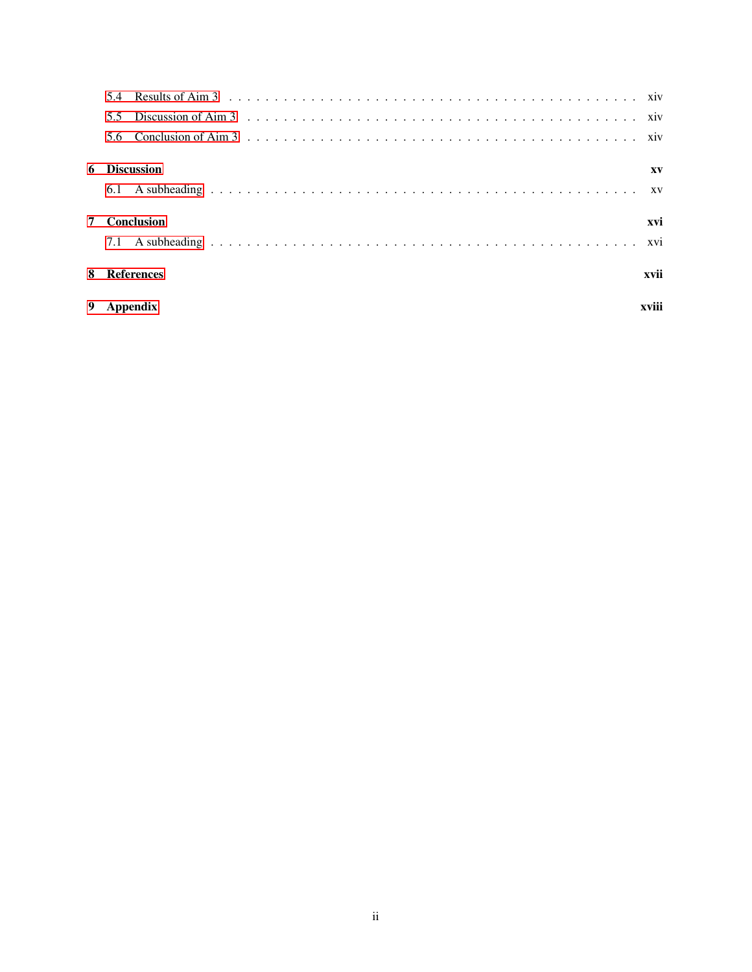| 9 | Appendix          |  |  |  |  |  |  |  |  |  | xviii |
|---|-------------------|--|--|--|--|--|--|--|--|--|-------|
| 8 | <b>References</b> |  |  |  |  |  |  |  |  |  | xvii  |
|   |                   |  |  |  |  |  |  |  |  |  |       |
|   | <b>Conclusion</b> |  |  |  |  |  |  |  |  |  | xvi   |
|   |                   |  |  |  |  |  |  |  |  |  |       |
|   | 6 Discussion      |  |  |  |  |  |  |  |  |  | XV    |
|   |                   |  |  |  |  |  |  |  |  |  |       |
|   | 5.5               |  |  |  |  |  |  |  |  |  |       |
|   |                   |  |  |  |  |  |  |  |  |  |       |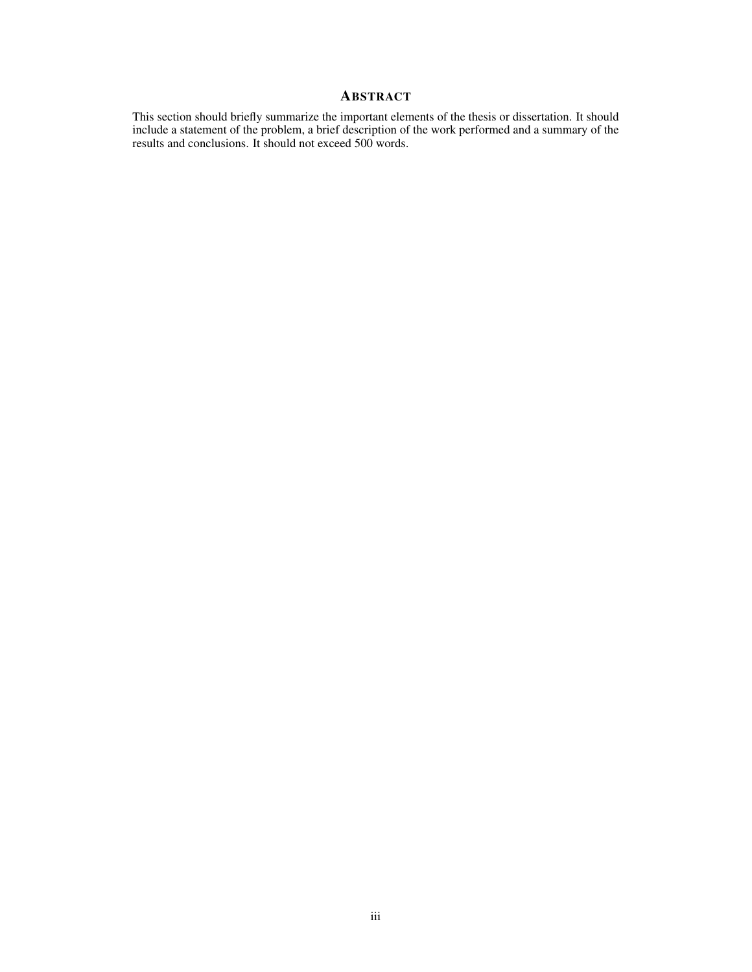# ABSTRACT

This section should briefly summarize the important elements of the thesis or dissertation. It should include a statement of the problem, a brief description of the work performed and a summary of the results and conclusions. It should not exceed 500 words.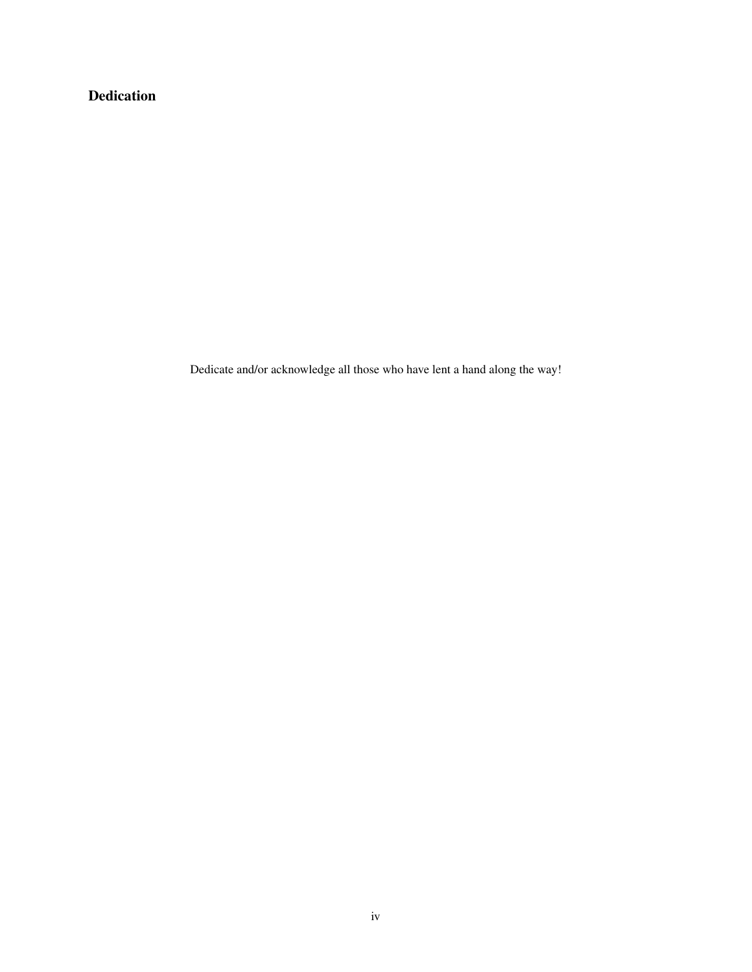# Dedication

Dedicate and/or acknowledge all those who have lent a hand along the way!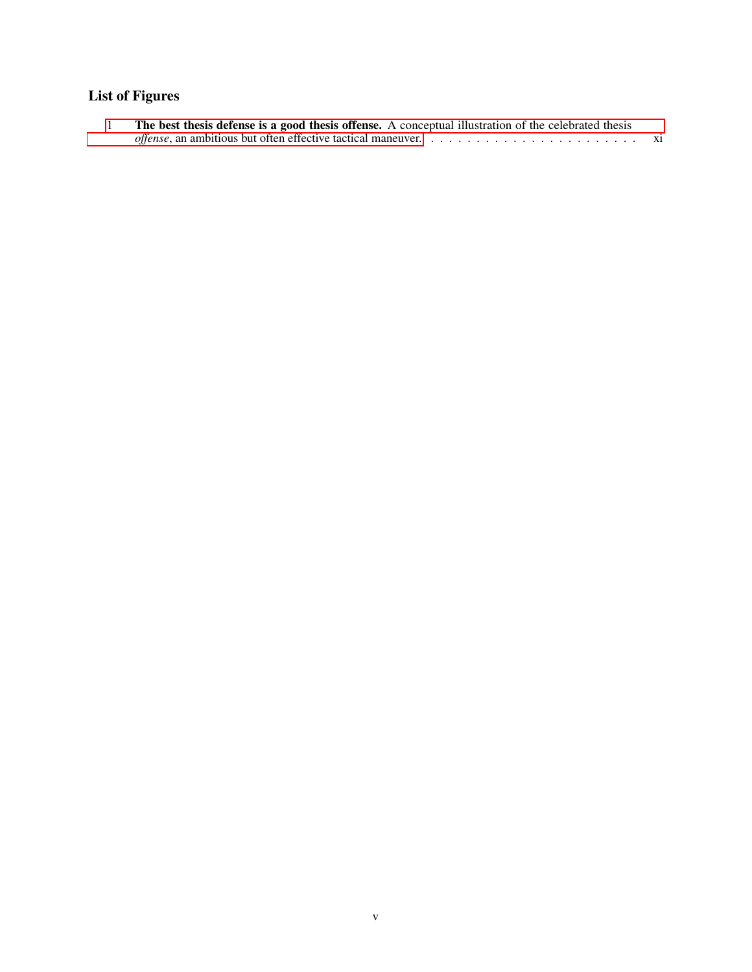# <span id="page-7-0"></span>List of Figures

| The best thesis defense is a good thesis offense. A conceptual illustration of the celebrated thesis |           |
|------------------------------------------------------------------------------------------------------|-----------|
|                                                                                                      | <b>X1</b> |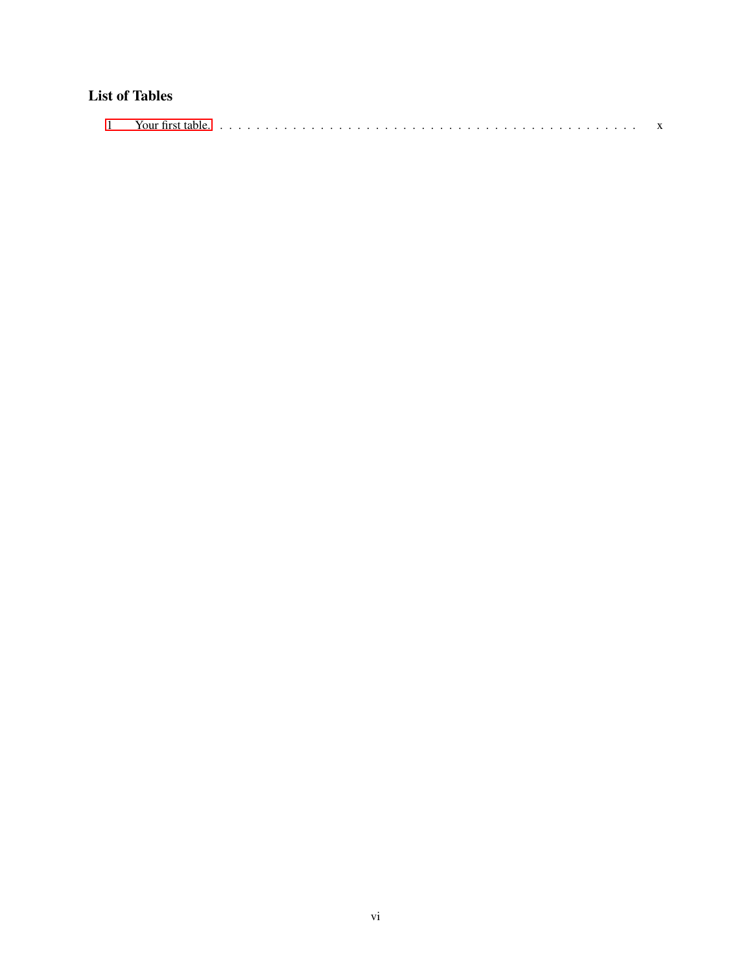# <span id="page-8-0"></span>List of Tables

| Your first table. |  |
|-------------------|--|
|-------------------|--|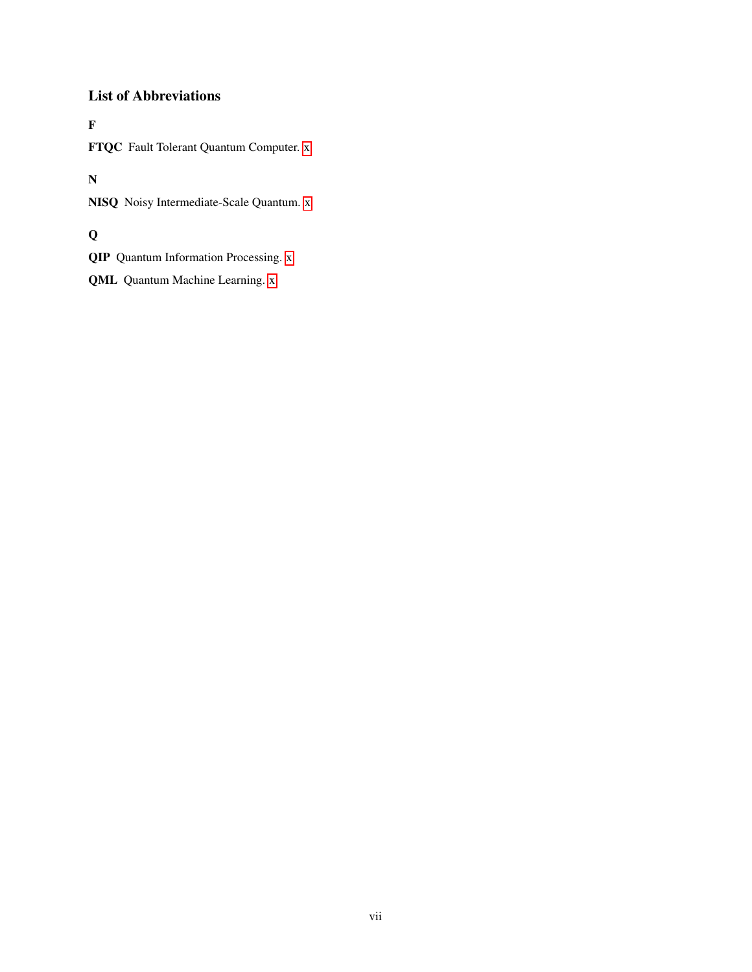# <span id="page-9-0"></span>List of Abbreviations

F

<span id="page-9-4"></span>FTQC Fault Tolerant Quantum Computer. [x](#page-12-6)

N

<span id="page-9-2"></span>NISQ Noisy Intermediate-Scale Quantum. [x](#page-12-6)

# Q

<span id="page-9-3"></span>QIP Quantum Information Processing. [x](#page-12-6)

<span id="page-9-1"></span>QML Quantum Machine Learning. [x](#page-12-6)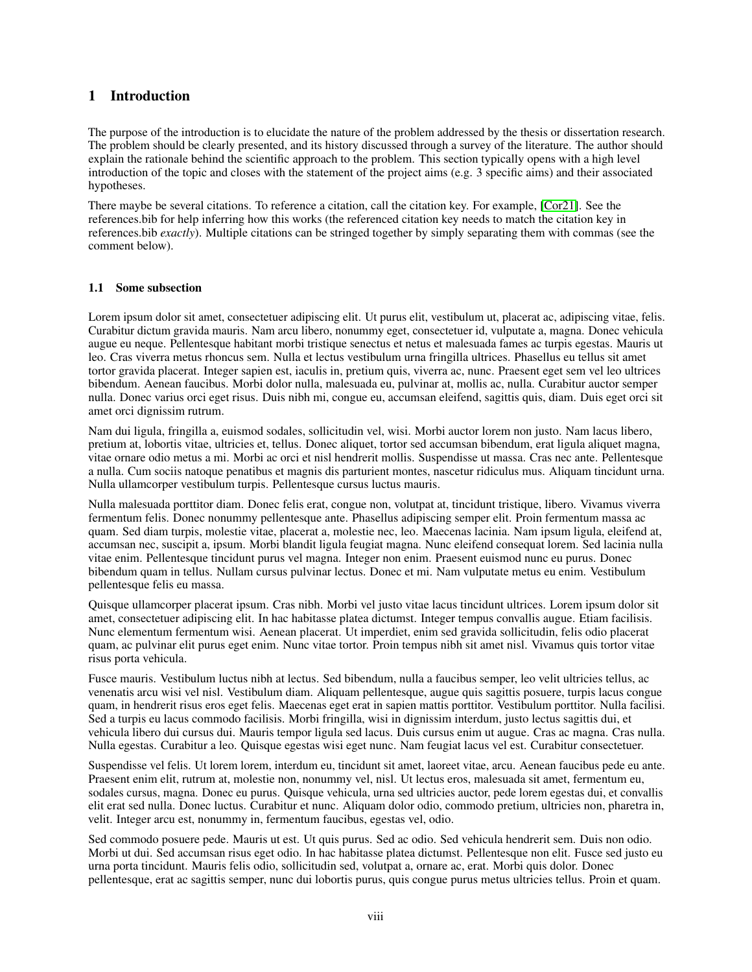# <span id="page-10-0"></span>1 Introduction

The purpose of the introduction is to elucidate the nature of the problem addressed by the thesis or dissertation research. The problem should be clearly presented, and its history discussed through a survey of the literature. The author should explain the rationale behind the scientific approach to the problem. This section typically opens with a high level introduction of the topic and closes with the statement of the project aims (e.g. 3 specific aims) and their associated hypotheses.

There maybe be several citations. To reference a citation, call the citation key. For example, [\[Cor21\]](#page-19-1). See the references.bib for help inferring how this works (the referenced citation key needs to match the citation key in references.bib *exactly*). Multiple citations can be stringed together by simply separating them with commas (see the comment below).

#### <span id="page-10-1"></span>1.1 Some subsection

Lorem ipsum dolor sit amet, consectetuer adipiscing elit. Ut purus elit, vestibulum ut, placerat ac, adipiscing vitae, felis. Curabitur dictum gravida mauris. Nam arcu libero, nonummy eget, consectetuer id, vulputate a, magna. Donec vehicula augue eu neque. Pellentesque habitant morbi tristique senectus et netus et malesuada fames ac turpis egestas. Mauris ut leo. Cras viverra metus rhoncus sem. Nulla et lectus vestibulum urna fringilla ultrices. Phasellus eu tellus sit amet tortor gravida placerat. Integer sapien est, iaculis in, pretium quis, viverra ac, nunc. Praesent eget sem vel leo ultrices bibendum. Aenean faucibus. Morbi dolor nulla, malesuada eu, pulvinar at, mollis ac, nulla. Curabitur auctor semper nulla. Donec varius orci eget risus. Duis nibh mi, congue eu, accumsan eleifend, sagittis quis, diam. Duis eget orci sit amet orci dignissim rutrum.

Nam dui ligula, fringilla a, euismod sodales, sollicitudin vel, wisi. Morbi auctor lorem non justo. Nam lacus libero, pretium at, lobortis vitae, ultricies et, tellus. Donec aliquet, tortor sed accumsan bibendum, erat ligula aliquet magna, vitae ornare odio metus a mi. Morbi ac orci et nisl hendrerit mollis. Suspendisse ut massa. Cras nec ante. Pellentesque a nulla. Cum sociis natoque penatibus et magnis dis parturient montes, nascetur ridiculus mus. Aliquam tincidunt urna. Nulla ullamcorper vestibulum turpis. Pellentesque cursus luctus mauris.

Nulla malesuada porttitor diam. Donec felis erat, congue non, volutpat at, tincidunt tristique, libero. Vivamus viverra fermentum felis. Donec nonummy pellentesque ante. Phasellus adipiscing semper elit. Proin fermentum massa ac quam. Sed diam turpis, molestie vitae, placerat a, molestie nec, leo. Maecenas lacinia. Nam ipsum ligula, eleifend at, accumsan nec, suscipit a, ipsum. Morbi blandit ligula feugiat magna. Nunc eleifend consequat lorem. Sed lacinia nulla vitae enim. Pellentesque tincidunt purus vel magna. Integer non enim. Praesent euismod nunc eu purus. Donec bibendum quam in tellus. Nullam cursus pulvinar lectus. Donec et mi. Nam vulputate metus eu enim. Vestibulum pellentesque felis eu massa.

Quisque ullamcorper placerat ipsum. Cras nibh. Morbi vel justo vitae lacus tincidunt ultrices. Lorem ipsum dolor sit amet, consectetuer adipiscing elit. In hac habitasse platea dictumst. Integer tempus convallis augue. Etiam facilisis. Nunc elementum fermentum wisi. Aenean placerat. Ut imperdiet, enim sed gravida sollicitudin, felis odio placerat quam, ac pulvinar elit purus eget enim. Nunc vitae tortor. Proin tempus nibh sit amet nisl. Vivamus quis tortor vitae risus porta vehicula.

Fusce mauris. Vestibulum luctus nibh at lectus. Sed bibendum, nulla a faucibus semper, leo velit ultricies tellus, ac venenatis arcu wisi vel nisl. Vestibulum diam. Aliquam pellentesque, augue quis sagittis posuere, turpis lacus congue quam, in hendrerit risus eros eget felis. Maecenas eget erat in sapien mattis porttitor. Vestibulum porttitor. Nulla facilisi. Sed a turpis eu lacus commodo facilisis. Morbi fringilla, wisi in dignissim interdum, justo lectus sagittis dui, et vehicula libero dui cursus dui. Mauris tempor ligula sed lacus. Duis cursus enim ut augue. Cras ac magna. Cras nulla. Nulla egestas. Curabitur a leo. Quisque egestas wisi eget nunc. Nam feugiat lacus vel est. Curabitur consectetuer.

Suspendisse vel felis. Ut lorem lorem, interdum eu, tincidunt sit amet, laoreet vitae, arcu. Aenean faucibus pede eu ante. Praesent enim elit, rutrum at, molestie non, nonummy vel, nisl. Ut lectus eros, malesuada sit amet, fermentum eu, sodales cursus, magna. Donec eu purus. Quisque vehicula, urna sed ultricies auctor, pede lorem egestas dui, et convallis elit erat sed nulla. Donec luctus. Curabitur et nunc. Aliquam dolor odio, commodo pretium, ultricies non, pharetra in, velit. Integer arcu est, nonummy in, fermentum faucibus, egestas vel, odio.

Sed commodo posuere pede. Mauris ut est. Ut quis purus. Sed ac odio. Sed vehicula hendrerit sem. Duis non odio. Morbi ut dui. Sed accumsan risus eget odio. In hac habitasse platea dictumst. Pellentesque non elit. Fusce sed justo eu urna porta tincidunt. Mauris felis odio, sollicitudin sed, volutpat a, ornare ac, erat. Morbi quis dolor. Donec pellentesque, erat ac sagittis semper, nunc dui lobortis purus, quis congue purus metus ultricies tellus. Proin et quam.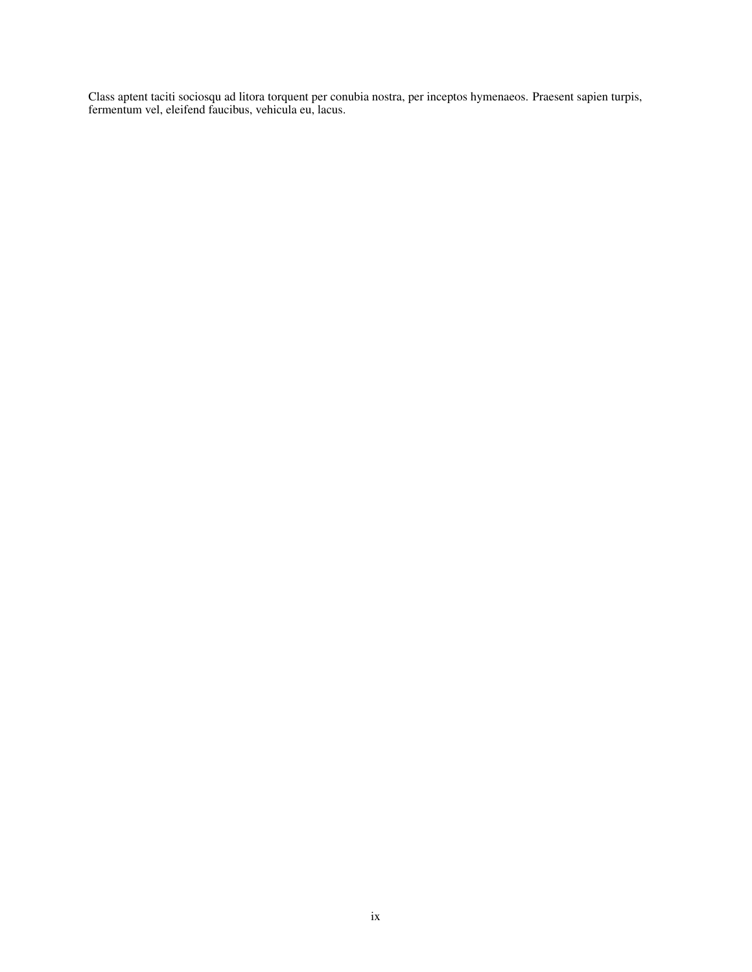Class aptent taciti sociosqu ad litora torquent per conubia nostra, per inceptos hymenaeos. Praesent sapien turpis, fermentum vel, eleifend faucibus, vehicula eu, lacus.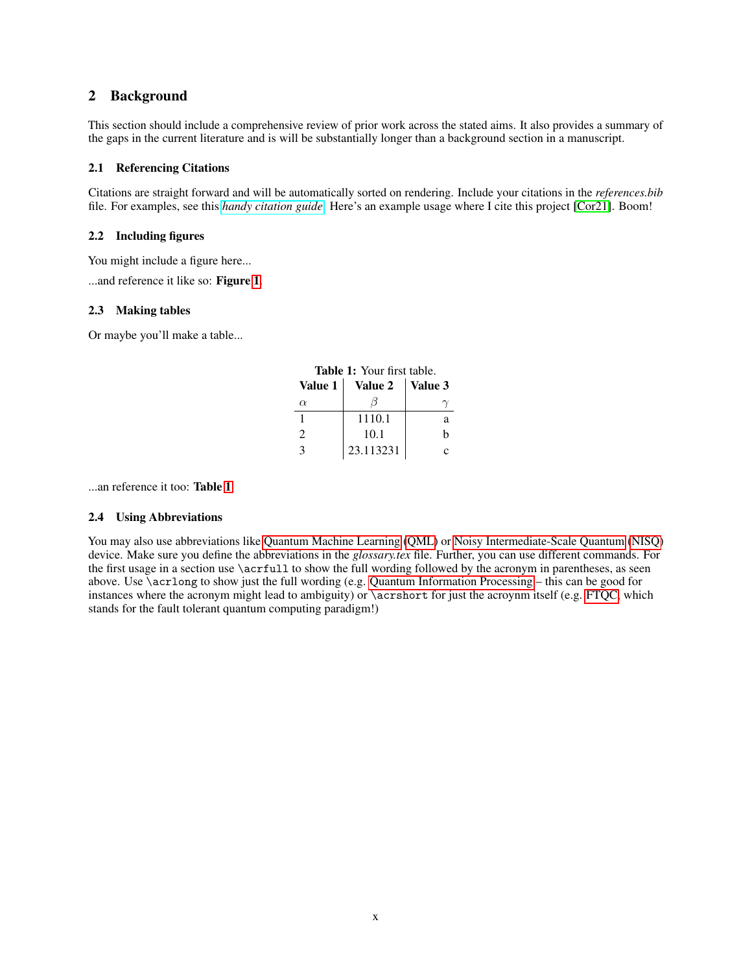# <span id="page-12-6"></span><span id="page-12-0"></span>2 Background

This section should include a comprehensive review of prior work across the stated aims. It also provides a summary of the gaps in the current literature and is will be substantially longer than a background section in a manuscript.

#### <span id="page-12-1"></span>2.1 Referencing Citations

Citations are straight forward and will be automatically sorted on rendering. Include your citations in the *references.bib* file. For examples, see this *[handy citation guide](https://libguides.nps.edu/citation/ieee-bibtex)*. Here's an example usage where I cite this project [\[Cor21\]](#page-19-1). Boom!

#### <span id="page-12-2"></span>2.2 Including figures

You might include a figure here...

...and reference it like so: Figure [1](#page-13-0).

#### <span id="page-12-3"></span>2.3 Making tables

<span id="page-12-5"></span>Or maybe you'll make a table...

| <b>Table 1:</b> Your first table. |                |         |  |  |  |  |  |  |  |
|-----------------------------------|----------------|---------|--|--|--|--|--|--|--|
| Value $1 \mid$                    | <b>Value 2</b> | Value 3 |  |  |  |  |  |  |  |
| $\alpha$                          |                |         |  |  |  |  |  |  |  |
|                                   | 1110.1         | я       |  |  |  |  |  |  |  |
| 2                                 | 10.1           |         |  |  |  |  |  |  |  |
| ว                                 | 23.113231      |         |  |  |  |  |  |  |  |

...an reference it too: Table [1](#page-12-5)

#### <span id="page-12-4"></span>2.4 Using Abbreviations

You may also use abbreviations like [Quantum Machine Learning](#page-9-1) [\(QML\)](#page-9-1) or [Noisy Intermediate-Scale Quantum](#page-9-2) [\(NISQ\)](#page-9-2) device. Make sure you define the abbreviations in the *glossary.tex* file. Further, you can use different commands. For the first usage in a section use \acrfull to show the full wording followed by the acronym in parentheses, as seen above. Use  $\bar{\ }$  acrlong to show just the full wording (e.g. [Quantum Information Processing](#page-9-3) – this can be good for instances where the acronym might lead to ambiguity) or  $\arctan$  for just the acroynm itself (e.g. [FTQC,](#page-9-4) which stands for the fault tolerant quantum computing paradigm!)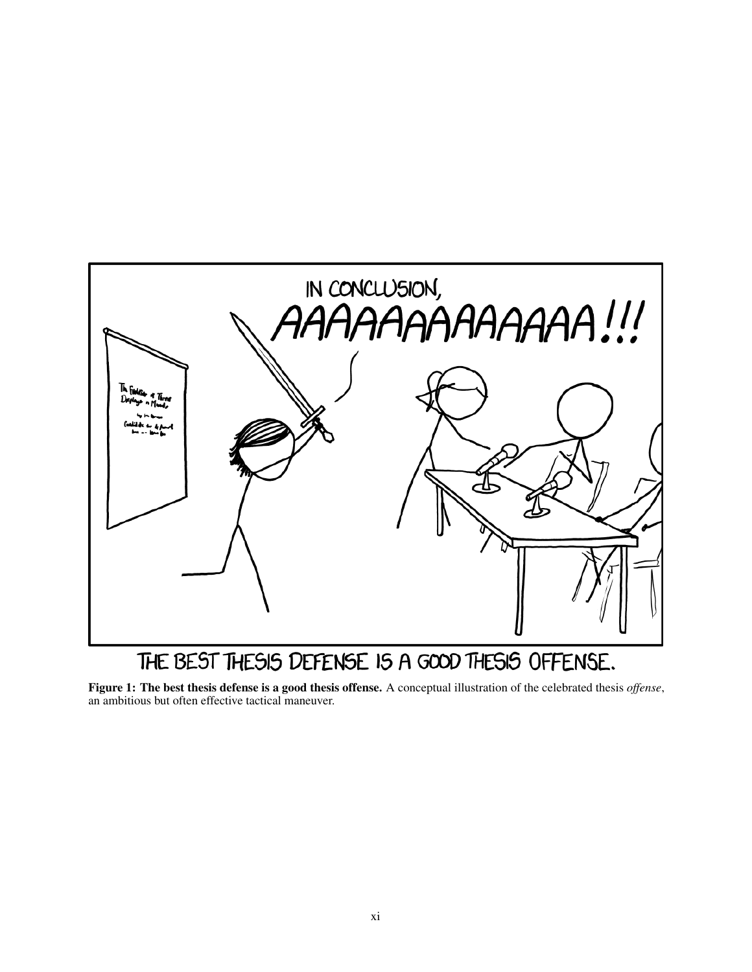<span id="page-13-0"></span>

Figure 1: The best thesis defense is a good thesis offense. A conceptual illustration of the celebrated thesis *offense*, an ambitious but often effective tactical maneuver.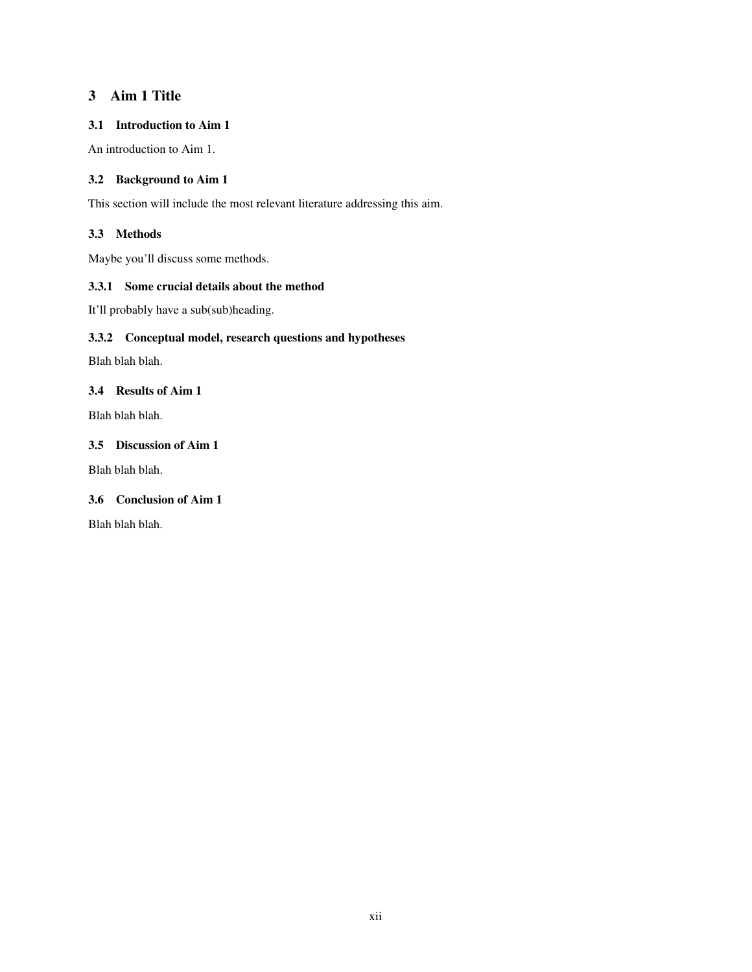# <span id="page-14-0"></span>3 Aim 1 Title

# <span id="page-14-1"></span>3.1 Introduction to Aim 1

An introduction to Aim 1.

# <span id="page-14-2"></span>3.2 Background to Aim 1

This section will include the most relevant literature addressing this aim.

# <span id="page-14-3"></span>3.3 Methods

Maybe you'll discuss some methods.

# <span id="page-14-4"></span>3.3.1 Some crucial details about the method

It'll probably have a sub(sub)heading.

# <span id="page-14-5"></span>3.3.2 Conceptual model, research questions and hypotheses

Blah blah blah.

# <span id="page-14-6"></span>3.4 Results of Aim 1

Blah blah blah.

# <span id="page-14-7"></span>3.5 Discussion of Aim 1

Blah blah blah.

## <span id="page-14-8"></span>3.6 Conclusion of Aim 1

Blah blah blah.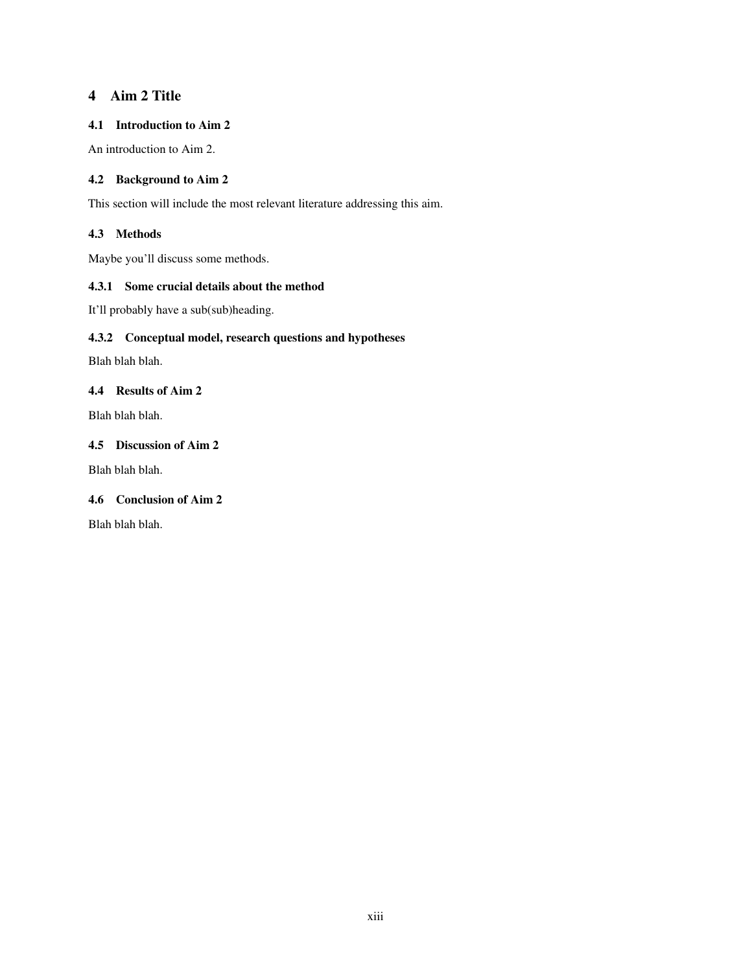# <span id="page-15-0"></span>4 Aim 2 Title

## <span id="page-15-1"></span>4.1 Introduction to Aim 2

An introduction to Aim 2.

## <span id="page-15-2"></span>4.2 Background to Aim 2

This section will include the most relevant literature addressing this aim.

# <span id="page-15-3"></span>4.3 Methods

Maybe you'll discuss some methods.

# <span id="page-15-4"></span>4.3.1 Some crucial details about the method

It'll probably have a sub(sub)heading.

# <span id="page-15-5"></span>4.3.2 Conceptual model, research questions and hypotheses

Blah blah blah.

# <span id="page-15-6"></span>4.4 Results of Aim 2

Blah blah blah.

# <span id="page-15-7"></span>4.5 Discussion of Aim 2

Blah blah blah.

# <span id="page-15-8"></span>4.6 Conclusion of Aim 2

Blah blah blah.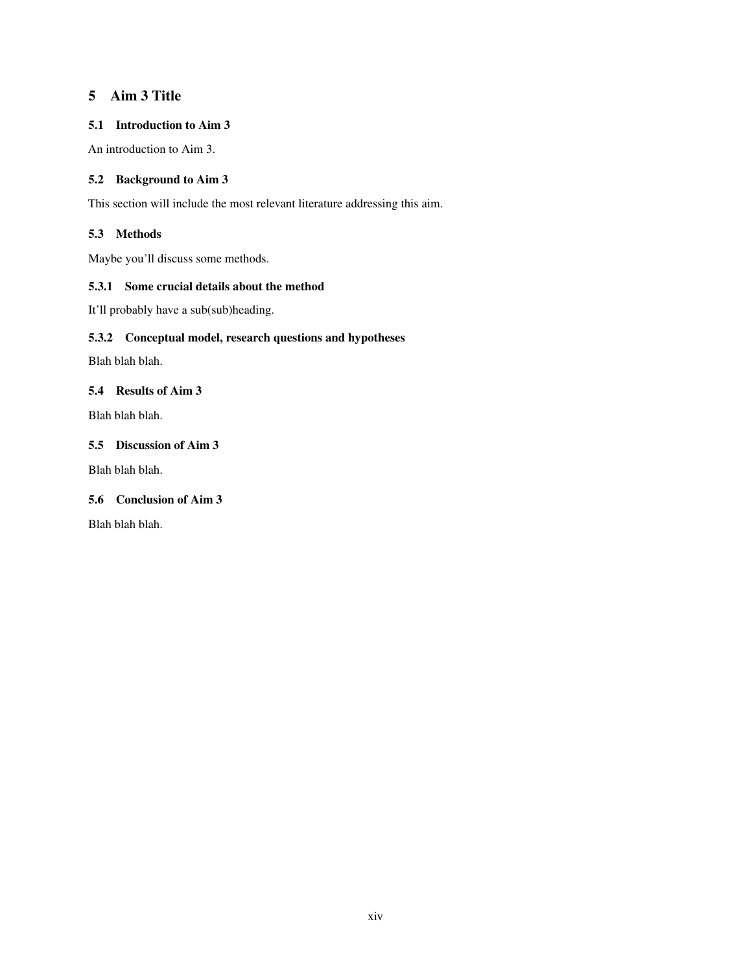# <span id="page-16-0"></span>5 Aim 3 Title

## <span id="page-16-1"></span>5.1 Introduction to Aim 3

An introduction to Aim 3.

## <span id="page-16-2"></span>5.2 Background to Aim 3

This section will include the most relevant literature addressing this aim.

## <span id="page-16-3"></span>5.3 Methods

Maybe you'll discuss some methods.

## <span id="page-16-4"></span>5.3.1 Some crucial details about the method

It'll probably have a sub(sub)heading.

# <span id="page-16-5"></span>5.3.2 Conceptual model, research questions and hypotheses

Blah blah blah.

## <span id="page-16-6"></span>5.4 Results of Aim 3

Blah blah blah.

# <span id="page-16-7"></span>5.5 Discussion of Aim 3

Blah blah blah.

# <span id="page-16-8"></span>5.6 Conclusion of Aim 3

Blah blah blah.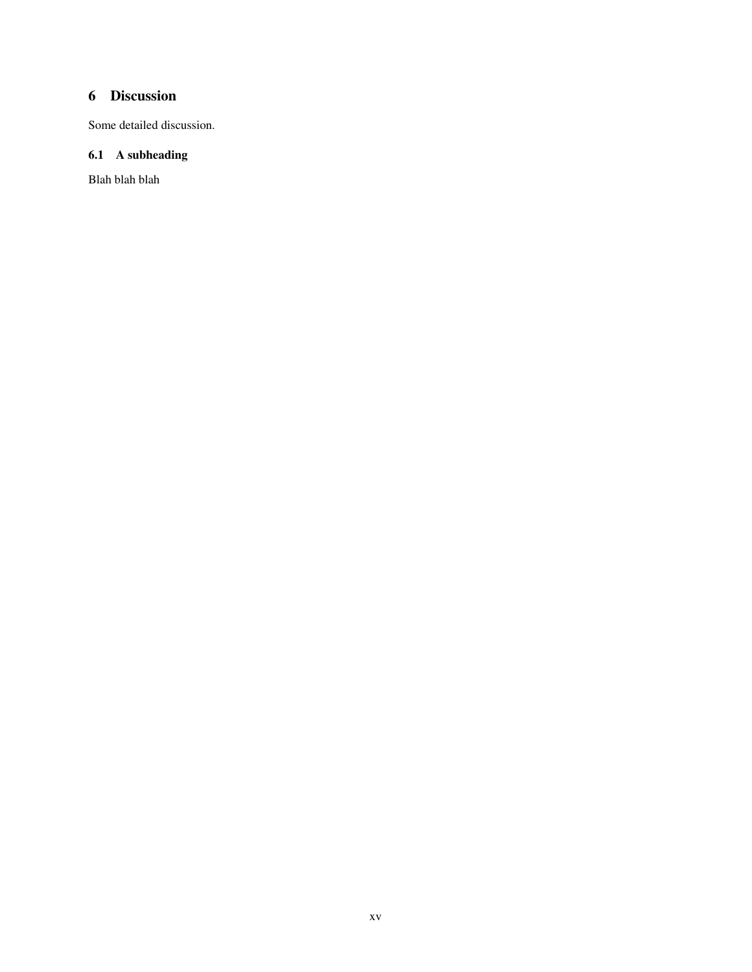# <span id="page-17-0"></span>6 Discussion

Some detailed discussion.

# <span id="page-17-1"></span>6.1 A subheading

Blah blah blah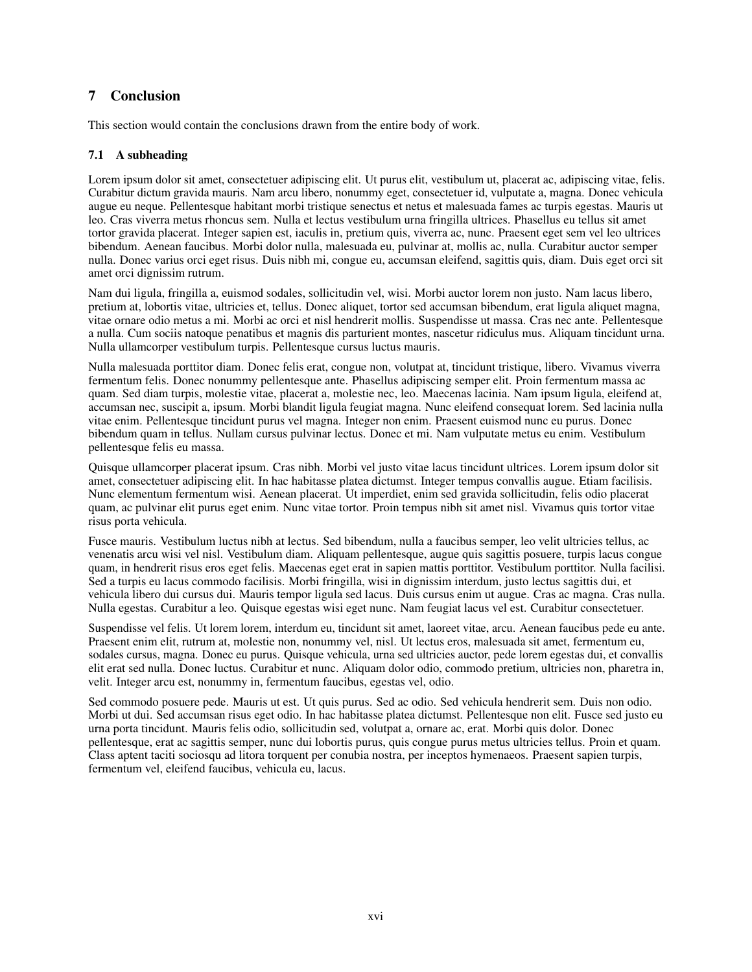# <span id="page-18-0"></span>7 Conclusion

This section would contain the conclusions drawn from the entire body of work.

## <span id="page-18-1"></span>7.1 A subheading

Lorem ipsum dolor sit amet, consectetuer adipiscing elit. Ut purus elit, vestibulum ut, placerat ac, adipiscing vitae, felis. Curabitur dictum gravida mauris. Nam arcu libero, nonummy eget, consectetuer id, vulputate a, magna. Donec vehicula augue eu neque. Pellentesque habitant morbi tristique senectus et netus et malesuada fames ac turpis egestas. Mauris ut leo. Cras viverra metus rhoncus sem. Nulla et lectus vestibulum urna fringilla ultrices. Phasellus eu tellus sit amet tortor gravida placerat. Integer sapien est, iaculis in, pretium quis, viverra ac, nunc. Praesent eget sem vel leo ultrices bibendum. Aenean faucibus. Morbi dolor nulla, malesuada eu, pulvinar at, mollis ac, nulla. Curabitur auctor semper nulla. Donec varius orci eget risus. Duis nibh mi, congue eu, accumsan eleifend, sagittis quis, diam. Duis eget orci sit amet orci dignissim rutrum.

Nam dui ligula, fringilla a, euismod sodales, sollicitudin vel, wisi. Morbi auctor lorem non justo. Nam lacus libero, pretium at, lobortis vitae, ultricies et, tellus. Donec aliquet, tortor sed accumsan bibendum, erat ligula aliquet magna, vitae ornare odio metus a mi. Morbi ac orci et nisl hendrerit mollis. Suspendisse ut massa. Cras nec ante. Pellentesque a nulla. Cum sociis natoque penatibus et magnis dis parturient montes, nascetur ridiculus mus. Aliquam tincidunt urna. Nulla ullamcorper vestibulum turpis. Pellentesque cursus luctus mauris.

Nulla malesuada porttitor diam. Donec felis erat, congue non, volutpat at, tincidunt tristique, libero. Vivamus viverra fermentum felis. Donec nonummy pellentesque ante. Phasellus adipiscing semper elit. Proin fermentum massa ac quam. Sed diam turpis, molestie vitae, placerat a, molestie nec, leo. Maecenas lacinia. Nam ipsum ligula, eleifend at, accumsan nec, suscipit a, ipsum. Morbi blandit ligula feugiat magna. Nunc eleifend consequat lorem. Sed lacinia nulla vitae enim. Pellentesque tincidunt purus vel magna. Integer non enim. Praesent euismod nunc eu purus. Donec bibendum quam in tellus. Nullam cursus pulvinar lectus. Donec et mi. Nam vulputate metus eu enim. Vestibulum pellentesque felis eu massa.

Quisque ullamcorper placerat ipsum. Cras nibh. Morbi vel justo vitae lacus tincidunt ultrices. Lorem ipsum dolor sit amet, consectetuer adipiscing elit. In hac habitasse platea dictumst. Integer tempus convallis augue. Etiam facilisis. Nunc elementum fermentum wisi. Aenean placerat. Ut imperdiet, enim sed gravida sollicitudin, felis odio placerat quam, ac pulvinar elit purus eget enim. Nunc vitae tortor. Proin tempus nibh sit amet nisl. Vivamus quis tortor vitae risus porta vehicula.

Fusce mauris. Vestibulum luctus nibh at lectus. Sed bibendum, nulla a faucibus semper, leo velit ultricies tellus, ac venenatis arcu wisi vel nisl. Vestibulum diam. Aliquam pellentesque, augue quis sagittis posuere, turpis lacus congue quam, in hendrerit risus eros eget felis. Maecenas eget erat in sapien mattis porttitor. Vestibulum porttitor. Nulla facilisi. Sed a turpis eu lacus commodo facilisis. Morbi fringilla, wisi in dignissim interdum, justo lectus sagittis dui, et vehicula libero dui cursus dui. Mauris tempor ligula sed lacus. Duis cursus enim ut augue. Cras ac magna. Cras nulla. Nulla egestas. Curabitur a leo. Quisque egestas wisi eget nunc. Nam feugiat lacus vel est. Curabitur consectetuer.

Suspendisse vel felis. Ut lorem lorem, interdum eu, tincidunt sit amet, laoreet vitae, arcu. Aenean faucibus pede eu ante. Praesent enim elit, rutrum at, molestie non, nonummy vel, nisl. Ut lectus eros, malesuada sit amet, fermentum eu, sodales cursus, magna. Donec eu purus. Quisque vehicula, urna sed ultricies auctor, pede lorem egestas dui, et convallis elit erat sed nulla. Donec luctus. Curabitur et nunc. Aliquam dolor odio, commodo pretium, ultricies non, pharetra in, velit. Integer arcu est, nonummy in, fermentum faucibus, egestas vel, odio.

Sed commodo posuere pede. Mauris ut est. Ut quis purus. Sed ac odio. Sed vehicula hendrerit sem. Duis non odio. Morbi ut dui. Sed accumsan risus eget odio. In hac habitasse platea dictumst. Pellentesque non elit. Fusce sed justo eu urna porta tincidunt. Mauris felis odio, sollicitudin sed, volutpat a, ornare ac, erat. Morbi quis dolor. Donec pellentesque, erat ac sagittis semper, nunc dui lobortis purus, quis congue purus metus ultricies tellus. Proin et quam. Class aptent taciti sociosqu ad litora torquent per conubia nostra, per inceptos hymenaeos. Praesent sapien turpis, fermentum vel, eleifend faucibus, vehicula eu, lacus.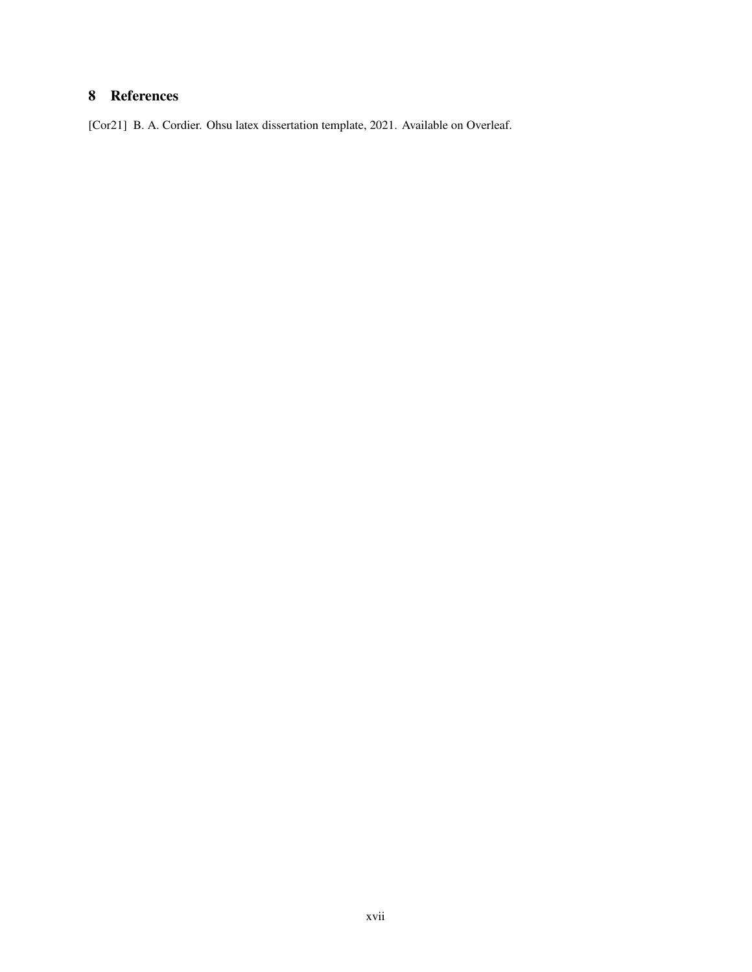# <span id="page-19-0"></span>8 References

<span id="page-19-1"></span>[Cor21] B. A. Cordier. Ohsu latex dissertation template, 2021. Available on Overleaf.